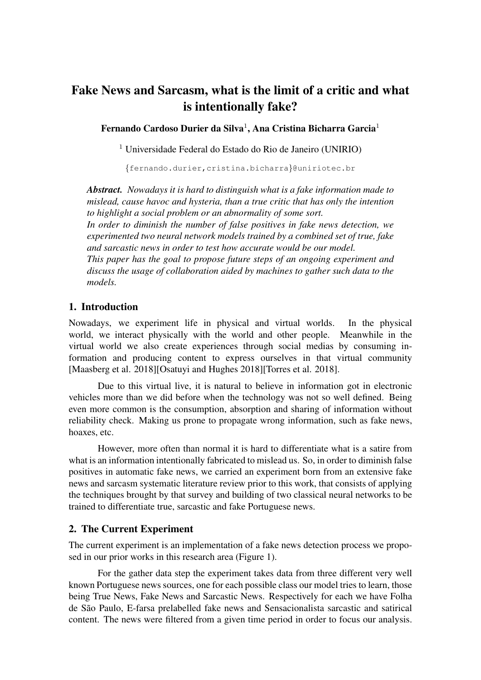# Fake News and Sarcasm, what is the limit of a critic and what is intentionally fake?

Fernando Cardoso Durier da Silva $^1\!$ , Ana Cristina Bicharra Garcia $^1$ 

<sup>1</sup> Universidade Federal do Estado do Rio de Janeiro (UNIRIO)

{fernando.durier,cristina.bicharra}@uniriotec.br

*Abstract. Nowadays it is hard to distinguish what is a fake information made to mislead, cause havoc and hysteria, than a true critic that has only the intention to highlight a social problem or an abnormality of some sort.*

*In order to diminish the number of false positives in fake news detection, we experimented two neural network models trained by a combined set of true, fake and sarcastic news in order to test how accurate would be our model.*

*This paper has the goal to propose future steps of an ongoing experiment and discuss the usage of collaboration aided by machines to gather such data to the models.*

### 1. Introduction

Nowadays, we experiment life in physical and virtual worlds. In the physical world, we interact physically with the world and other people. Meanwhile in the virtual world we also create experiences through social medias by consuming information and producing content to express ourselves in that virtual community [Maasberg et al. 2018][Osatuyi and Hughes 2018][Torres et al. 2018].

Due to this virtual live, it is natural to believe in information got in electronic vehicles more than we did before when the technology was not so well defined. Being even more common is the consumption, absorption and sharing of information without reliability check. Making us prone to propagate wrong information, such as fake news, hoaxes, etc.

However, more often than normal it is hard to differentiate what is a satire from what is an information intentionally fabricated to mislead us. So, in order to diminish false positives in automatic fake news, we carried an experiment born from an extensive fake news and sarcasm systematic literature review prior to this work, that consists of applying the techniques brought by that survey and building of two classical neural networks to be trained to differentiate true, sarcastic and fake Portuguese news.

### 2. The Current Experiment

The current experiment is an implementation of a fake news detection process we proposed in our prior works in this research area (Figure 1).

For the gather data step the experiment takes data from three different very well known Portuguese news sources, one for each possible class our model tries to learn, those being True News, Fake News and Sarcastic News. Respectively for each we have Folha de São Paulo, E-farsa prelabelled fake news and Sensacionalista sarcastic and satirical content. The news were filtered from a given time period in order to focus our analysis.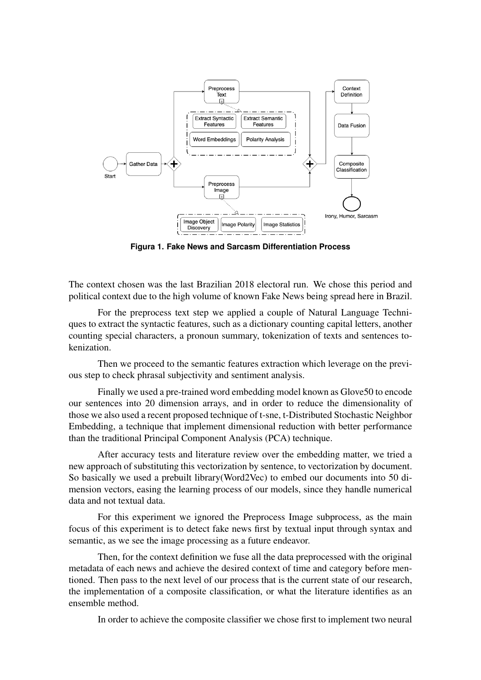

**Figura 1. Fake News and Sarcasm Differentiation Process**

The context chosen was the last Brazilian 2018 electoral run. We chose this period and political context due to the high volume of known Fake News being spread here in Brazil.

For the preprocess text step we applied a couple of Natural Language Techniques to extract the syntactic features, such as a dictionary counting capital letters, another counting special characters, a pronoun summary, tokenization of texts and sentences tokenization.

Then we proceed to the semantic features extraction which leverage on the previous step to check phrasal subjectivity and sentiment analysis.

Finally we used a pre-trained word embedding model known as Glove50 to encode our sentences into 20 dimension arrays, and in order to reduce the dimensionality of those we also used a recent proposed technique of t-sne, t-Distributed Stochastic Neighbor Embedding, a technique that implement dimensional reduction with better performance than the traditional Principal Component Analysis (PCA) technique.

After accuracy tests and literature review over the embedding matter, we tried a new approach of substituting this vectorization by sentence, to vectorization by document. So basically we used a prebuilt library(Word2Vec) to embed our documents into 50 dimension vectors, easing the learning process of our models, since they handle numerical data and not textual data.

For this experiment we ignored the Preprocess Image subprocess, as the main focus of this experiment is to detect fake news first by textual input through syntax and semantic, as we see the image processing as a future endeavor.

Then, for the context definition we fuse all the data preprocessed with the original metadata of each news and achieve the desired context of time and category before mentioned. Then pass to the next level of our process that is the current state of our research, the implementation of a composite classification, or what the literature identifies as an ensemble method.

In order to achieve the composite classifier we chose first to implement two neural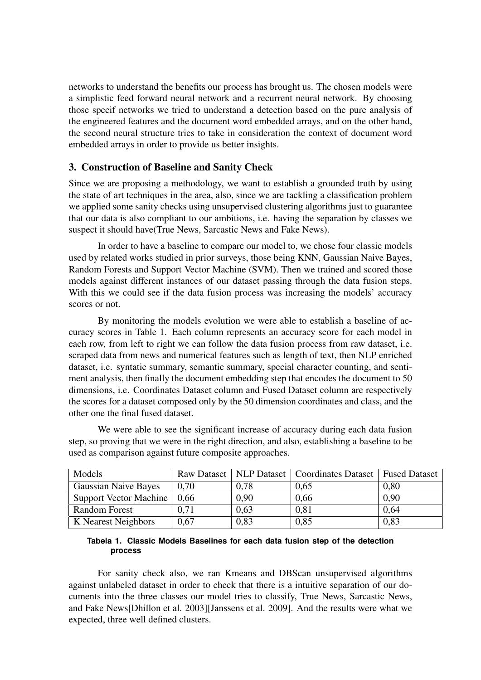networks to understand the benefits our process has brought us. The chosen models were a simplistic feed forward neural network and a recurrent neural network. By choosing those specif networks we tried to understand a detection based on the pure analysis of the engineered features and the document word embedded arrays, and on the other hand, the second neural structure tries to take in consideration the context of document word embedded arrays in order to provide us better insights.

### 3. Construction of Baseline and Sanity Check

Since we are proposing a methodology, we want to establish a grounded truth by using the state of art techniques in the area, also, since we are tackling a classification problem we applied some sanity checks using unsupervised clustering algorithms just to guarantee that our data is also compliant to our ambitions, i.e. having the separation by classes we suspect it should have(True News, Sarcastic News and Fake News).

In order to have a baseline to compare our model to, we chose four classic models used by related works studied in prior surveys, those being KNN, Gaussian Naive Bayes, Random Forests and Support Vector Machine (SVM). Then we trained and scored those models against different instances of our dataset passing through the data fusion steps. With this we could see if the data fusion process was increasing the models' accuracy scores or not.

By monitoring the models evolution we were able to establish a baseline of accuracy scores in Table 1. Each column represents an accuracy score for each model in each row, from left to right we can follow the data fusion process from raw dataset, i.e. scraped data from news and numerical features such as length of text, then NLP enriched dataset, i.e. syntatic summary, semantic summary, special character counting, and sentiment analysis, then finally the document embedding step that encodes the document to 50 dimensions, i.e. Coordinates Dataset column and Fused Dataset column are respectively the scores for a dataset composed only by the 50 dimension coordinates and class, and the other one the final fused dataset.

We were able to see the significant increase of accuracy during each data fusion step, so proving that we were in the right direction, and also, establishing a baseline to be used as comparison against future composite approaches.

| Models                        | <b>Raw Dataset</b> |      | NLP Dataset   Coordinates Dataset | <b>Fused Dataset</b> |
|-------------------------------|--------------------|------|-----------------------------------|----------------------|
| <b>Gaussian Naive Bayes</b>   | 0,70               | 0,78 | 0,65                              | 0,80                 |
| <b>Support Vector Machine</b> | 0,66               | 0,90 | 0,66                              | 0,90                 |
| <b>Random Forest</b>          | 0.71               | 0,63 | 0.81                              | 0.64                 |
| K Nearest Neighbors           | 0,67               | 0,83 | 0,85                              | 0,83                 |

#### **Tabela 1. Classic Models Baselines for each data fusion step of the detection process**

For sanity check also, we ran Kmeans and DBScan unsupervised algorithms against unlabeled dataset in order to check that there is a intuitive separation of our documents into the three classes our model tries to classify, True News, Sarcastic News, and Fake News[Dhillon et al. 2003][Janssens et al. 2009]. And the results were what we expected, three well defined clusters.